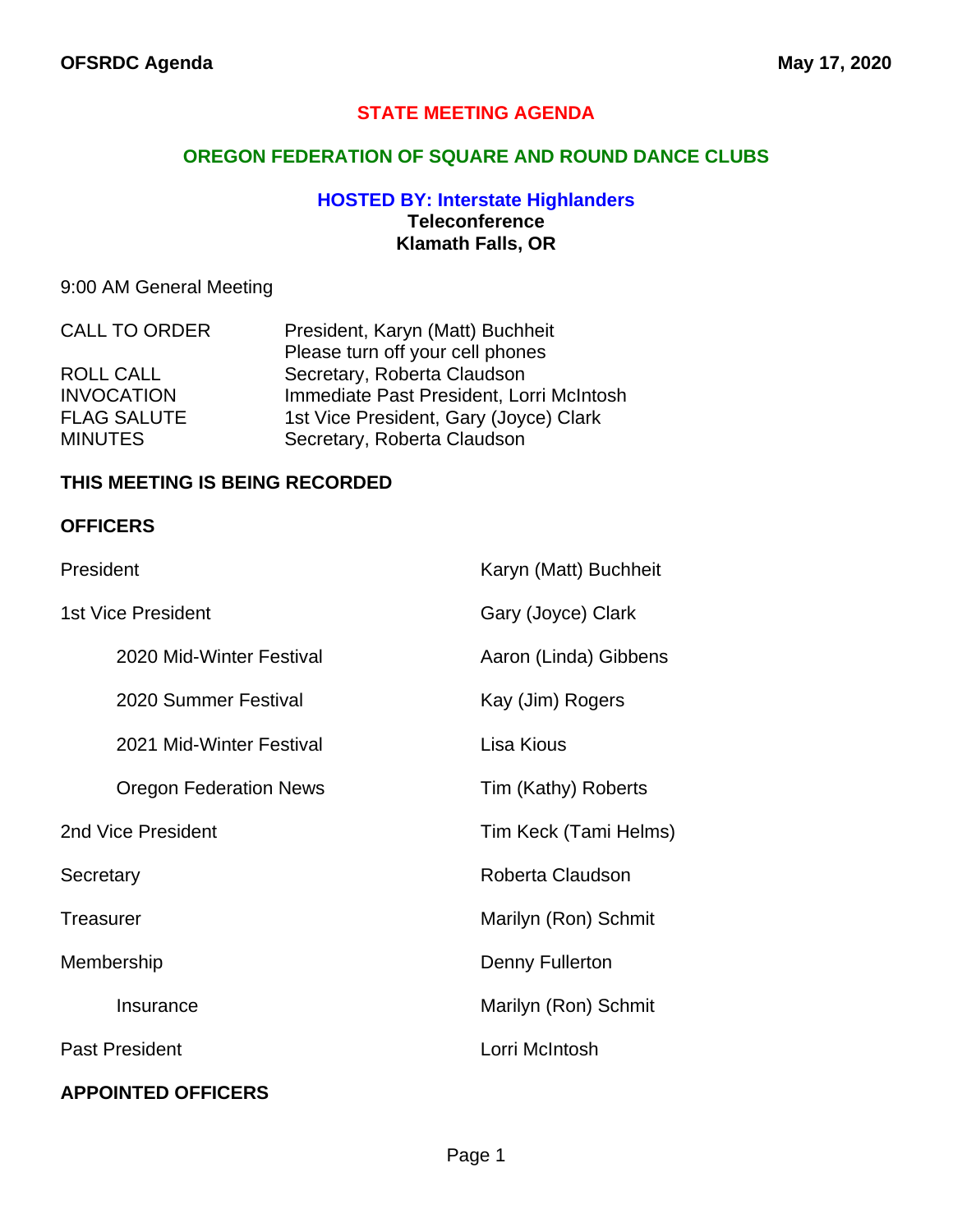### **STATE MEETING AGENDA**

#### **OREGON FEDERATION OF SQUARE AND ROUND DANCE CLUBS**

#### **HOSTED BY: Interstate Highlanders Teleconference Klamath Falls, OR**

### 9:00 AM General Meeting

| <b>CALL TO ORDER</b> | President, Karyn (Matt) Buchheit         |
|----------------------|------------------------------------------|
|                      | Please turn off your cell phones         |
| ROLL CALL            | Secretary, Roberta Claudson              |
| <b>INVOCATION</b>    | Immediate Past President, Lorri McIntosh |
| <b>FLAG SALUTE</b>   | 1st Vice President, Gary (Joyce) Clark   |
| <b>MINUTES</b>       | Secretary, Roberta Claudson              |

#### **THIS MEETING IS BEING RECORDED**

#### **OFFICERS**

| President                     | Karyn (Matt) Buchheit |
|-------------------------------|-----------------------|
| <b>1st Vice President</b>     | Gary (Joyce) Clark    |
| 2020 Mid-Winter Festival      | Aaron (Linda) Gibbens |
| 2020 Summer Festival          | Kay (Jim) Rogers      |
| 2021 Mid-Winter Festival      | Lisa Kious            |
| <b>Oregon Federation News</b> | Tim (Kathy) Roberts   |
| 2nd Vice President            | Tim Keck (Tami Helms) |
| Secretary                     | Roberta Claudson      |
| <b>Treasurer</b>              | Marilyn (Ron) Schmit  |
| Membership                    | Denny Fullerton       |
| Insurance                     | Marilyn (Ron) Schmit  |
| <b>Past President</b>         | Lorri McIntosh        |
| <b>APPOINTED OFFICERS</b>     |                       |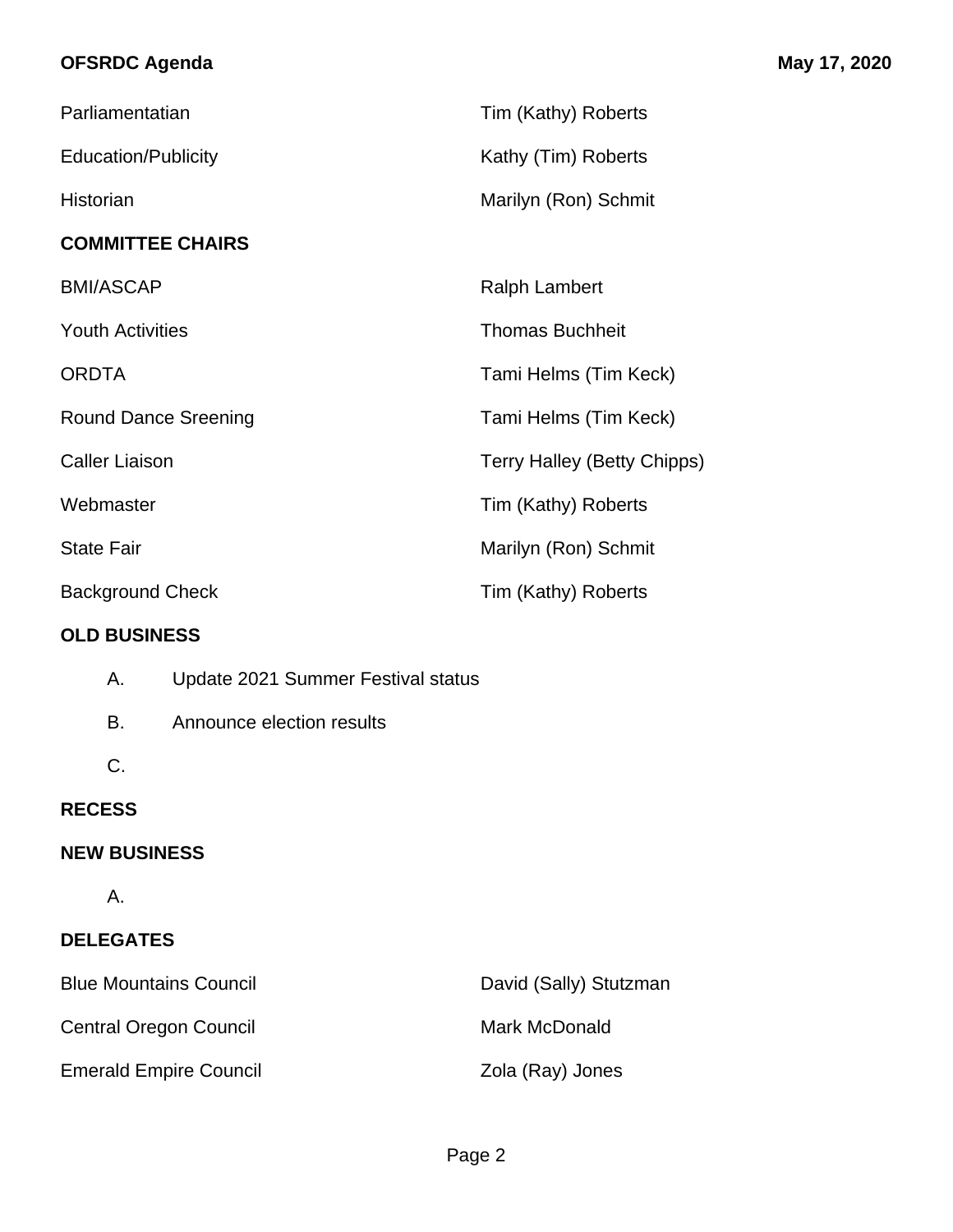# **OFSRDC Agenda May 17, 2020**

| Parliamentatian             | Tim (Kathy) Roberts                |
|-----------------------------|------------------------------------|
| <b>Education/Publicity</b>  | Kathy (Tim) Roberts                |
| Historian                   | Marilyn (Ron) Schmit               |
| <b>COMMITTEE CHAIRS</b>     |                                    |
| <b>BMI/ASCAP</b>            | <b>Ralph Lambert</b>               |
| <b>Youth Activities</b>     | <b>Thomas Buchheit</b>             |
| <b>ORDTA</b>                | Tami Helms (Tim Keck)              |
| <b>Round Dance Sreening</b> | Tami Helms (Tim Keck)              |
| <b>Caller Liaison</b>       | <b>Terry Halley (Betty Chipps)</b> |
| Webmaster                   | Tim (Kathy) Roberts                |
| <b>State Fair</b>           | Marilyn (Ron) Schmit               |
| <b>Background Check</b>     | Tim (Kathy) Roberts                |

### **OLD BUSINESS**

| А. | Update 2021 Summer Festival status |  |  |
|----|------------------------------------|--|--|
|    |                                    |  |  |

- B. Announce election results
- C.

# **RECESS**

# **NEW BUSINESS**

A.

# **DELEGATES**

| <b>Blue Mountains Council</b> | David (Sally) Stutzman |
|-------------------------------|------------------------|
| <b>Central Oregon Council</b> | Mark McDonald          |
| <b>Emerald Empire Council</b> | Zola (Ray) Jones       |